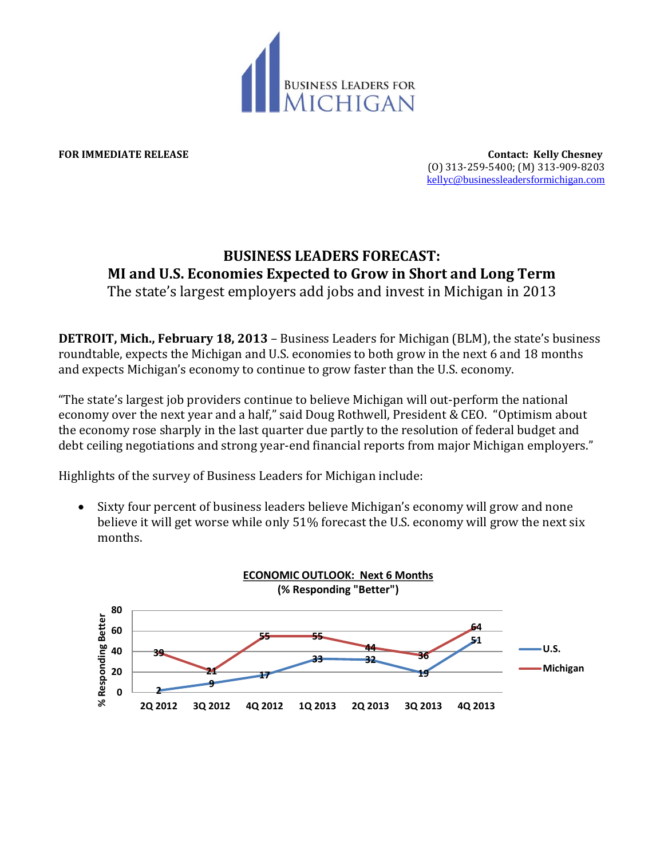

**FOR IMMEDIATE RELEASE Contact: Kelly Chesney** (O) 313-259-5400; (M) 313-909-8203 [kellyc@businessleadersformichigan.com](mailto:kellyc@businessleadersformichigan.com)

## **BUSINESS LEADERS FORECAST: MI and U.S. Economies Expected to Grow in Short and Long Term**

The state's largest employers add jobs and invest in Michigan in 2013

**DETROIT, Mich., February 18, 2013** – Business Leaders for Michigan (BLM), the state's business roundtable, expects the Michigan and U.S. economies to both grow in the next 6 and 18 months and expects Michigan's economy to continue to grow faster than the U.S. economy.

"The state's largest job providers continue to believe Michigan will out-perform the national economy over the next year and a half," said Doug Rothwell, President & CEO. "Optimism about the economy rose sharply in the last quarter due partly to the resolution of federal budget and debt ceiling negotiations and strong year-end financial reports from major Michigan employers."

Highlights of the survey of Business Leaders for Michigan include:

 Sixty four percent of business leaders believe Michigan's economy will grow and none believe it will get worse while only 51% forecast the U.S. economy will grow the next six months.